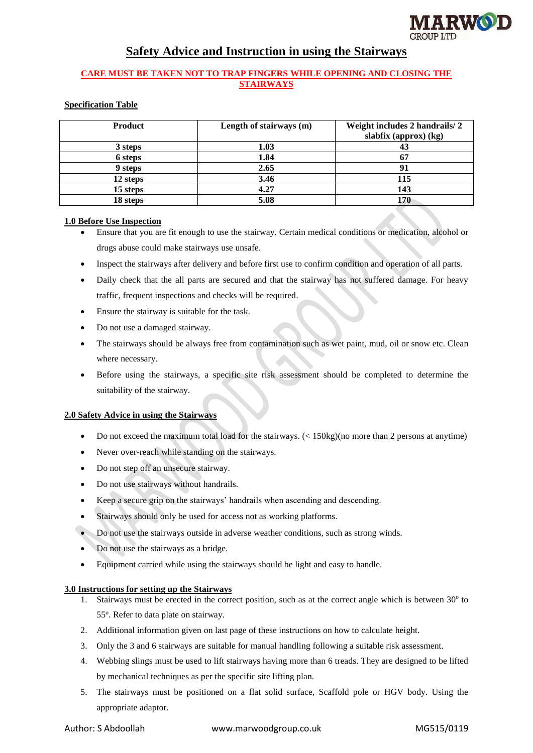

# **Safety Advice and Instruction in using the Stairways**

# **CARE MUST BE TAKEN NOT TO TRAP FINGERS WHILE OPENING AND CLOSING THE STAIRWAYS**

# **Specification Table**

| <b>Product</b> | Length of stairways (m) | Weight includes 2 handrails/2<br>slabfix (approx) (kg) |
|----------------|-------------------------|--------------------------------------------------------|
| 3 steps        | 1.03                    | 43                                                     |
| 6 steps        | 1.84                    | 67                                                     |
| 9 steps        | 2.65                    | 91                                                     |
| 12 steps       | 3.46                    | 115                                                    |
| 15 steps       | 4.27                    | 143                                                    |
| 18 steps       | 5.08                    | 170                                                    |

# **1.0 Before Use Inspection**

- Ensure that you are fit enough to use the stairway. Certain medical conditions or medication, alcohol or drugs abuse could make stairways use unsafe.
- Inspect the stairways after delivery and before first use to confirm condition and operation of all parts.
- Daily check that the all parts are secured and that the stairway has not suffered damage. For heavy traffic, frequent inspections and checks will be required.
- Ensure the stairway is suitable for the task.
- Do not use a damaged stairway.
- The stairways should be always free from contamination such as wet paint, mud, oil or snow etc. Clean where necessary.
- Before using the stairways, a specific site risk assessment should be completed to determine the suitability of the stairway.

### **2.0 Safety Advice in using the Stairways**

- Do not exceed the maximum total load for the stairways. (< 150kg)(no more than 2 persons at anytime)
- Never over-reach while standing on the stairways.
- Do not step off an unsecure stairway.
- Do not use stairways without handrails.
- Keep a secure grip on the stairways' handrails when ascending and descending.
- Stairways should only be used for access not as working platforms.
- Do not use the stairways outside in adverse weather conditions, such as strong winds.
- Do not use the stairways as a bridge.
- Equipment carried while using the stairways should be light and easy to handle.

### **3.0 Instructions for setting up the Stairways**

- 1. Stairways must be erected in the correct position, such as at the correct angle which is between 30° to 55°. Refer to data plate on stairway.
- 2. Additional information given on last page of these instructions on how to calculate height.
- 3. Only the 3 and 6 stairways are suitable for manual handling following a suitable risk assessment.
- 4. Webbing slings must be used to lift stairways having more than 6 treads. They are designed to be lifted by mechanical techniques as per the specific site lifting plan.
- 5. The stairways must be positioned on a flat solid surface, Scaffold pole or HGV body. Using the appropriate adaptor.